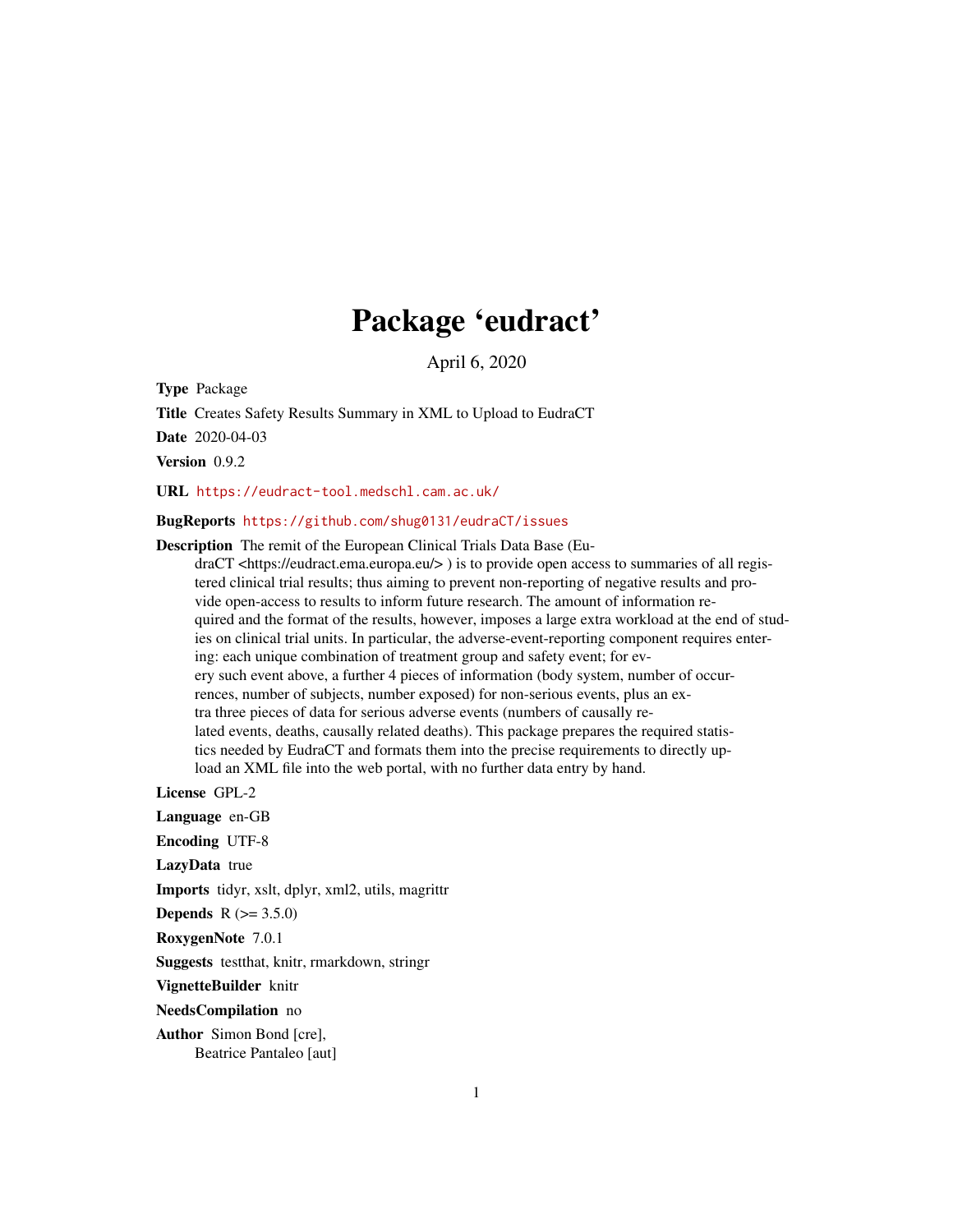# Package 'eudract'

April 6, 2020

Type Package

Title Creates Safety Results Summary in XML to Upload to EudraCT

Date 2020-04-03

Version 0.9.2

URL <https://eudract-tool.medschl.cam.ac.uk/>

## BugReports <https://github.com/shug0131/eudraCT/issues>

Description The remit of the European Clinical Trials Data Base (Eu-

draCT <https://eudract.ema.europa.eu/> ) is to provide open access to summaries of all registered clinical trial results; thus aiming to prevent non-reporting of negative results and provide open-access to results to inform future research. The amount of information required and the format of the results, however, imposes a large extra workload at the end of studies on clinical trial units. In particular, the adverse-event-reporting component requires entering: each unique combination of treatment group and safety event; for every such event above, a further 4 pieces of information (body system, number of occurrences, number of subjects, number exposed) for non-serious events, plus an extra three pieces of data for serious adverse events (numbers of causally related events, deaths, causally related deaths). This package prepares the required statistics needed by EudraCT and formats them into the precise requirements to directly upload an XML file into the web portal, with no further data entry by hand.

License GPL-2

Language en-GB

Encoding UTF-8

LazyData true

Imports tidyr, xslt, dplyr, xml2, utils, magrittr

**Depends**  $R (= 3.5.0)$ 

RoxygenNote 7.0.1

Suggests testthat, knitr, rmarkdown, stringr

VignetteBuilder knitr

NeedsCompilation no

Author Simon Bond [cre], Beatrice Pantaleo [aut]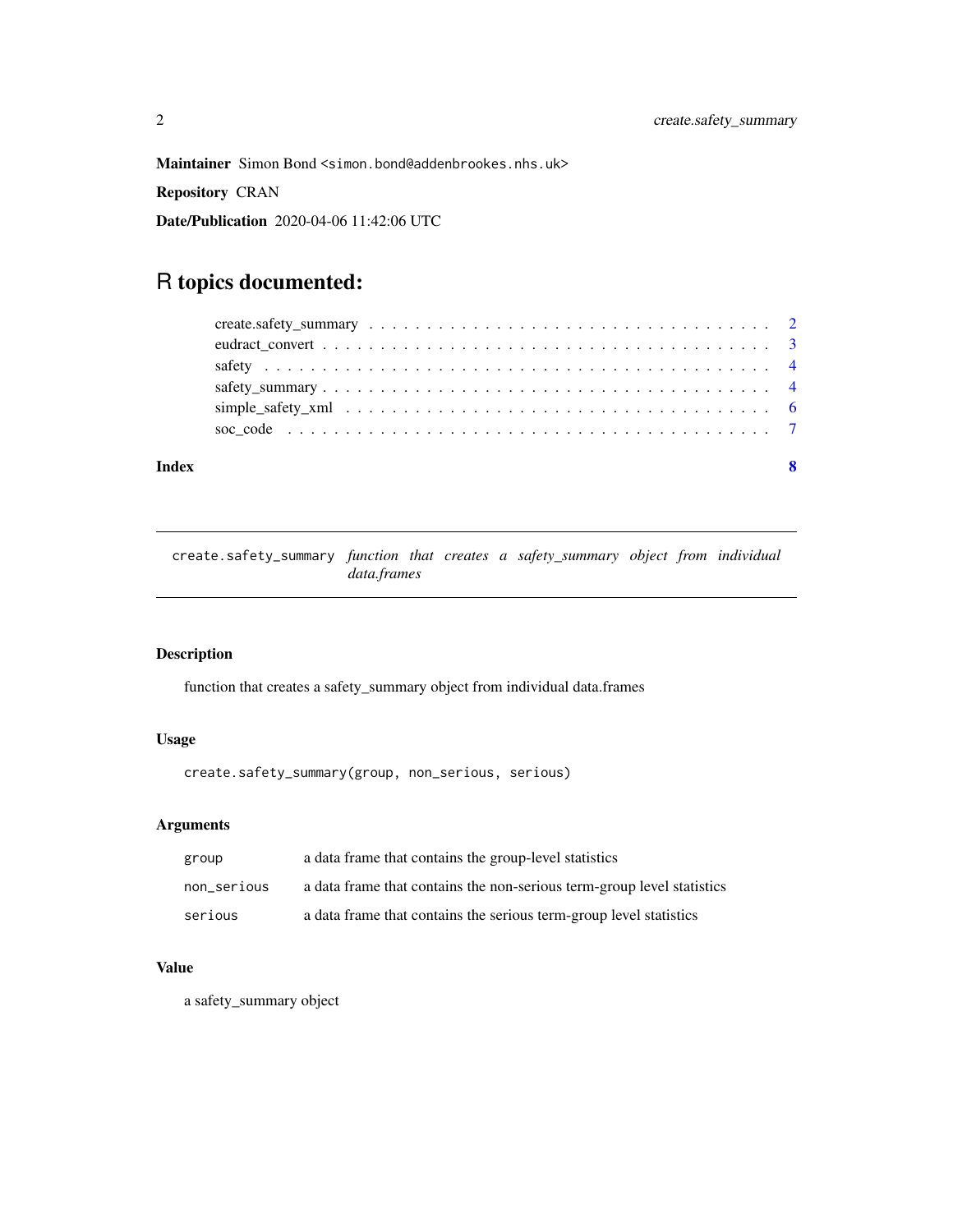<span id="page-1-0"></span>Maintainer Simon Bond <simon.bond@addenbrookes.nhs.uk>

Repository CRAN

Date/Publication 2020-04-06 11:42:06 UTC

# R topics documented:

#### **Index** [8](#page-7-0) **8**

create.safety\_summary *function that creates a safety\_summary object from individual data.frames*

# Description

function that creates a safety\_summary object from individual data.frames

# Usage

create.safety\_summary(group, non\_serious, serious)

#### Arguments

| group       | a data frame that contains the group-level statistics                  |
|-------------|------------------------------------------------------------------------|
| non_serious | a data frame that contains the non-serious term-group level statistics |
| serious     | a data frame that contains the serious term-group level statistics     |

# Value

a safety\_summary object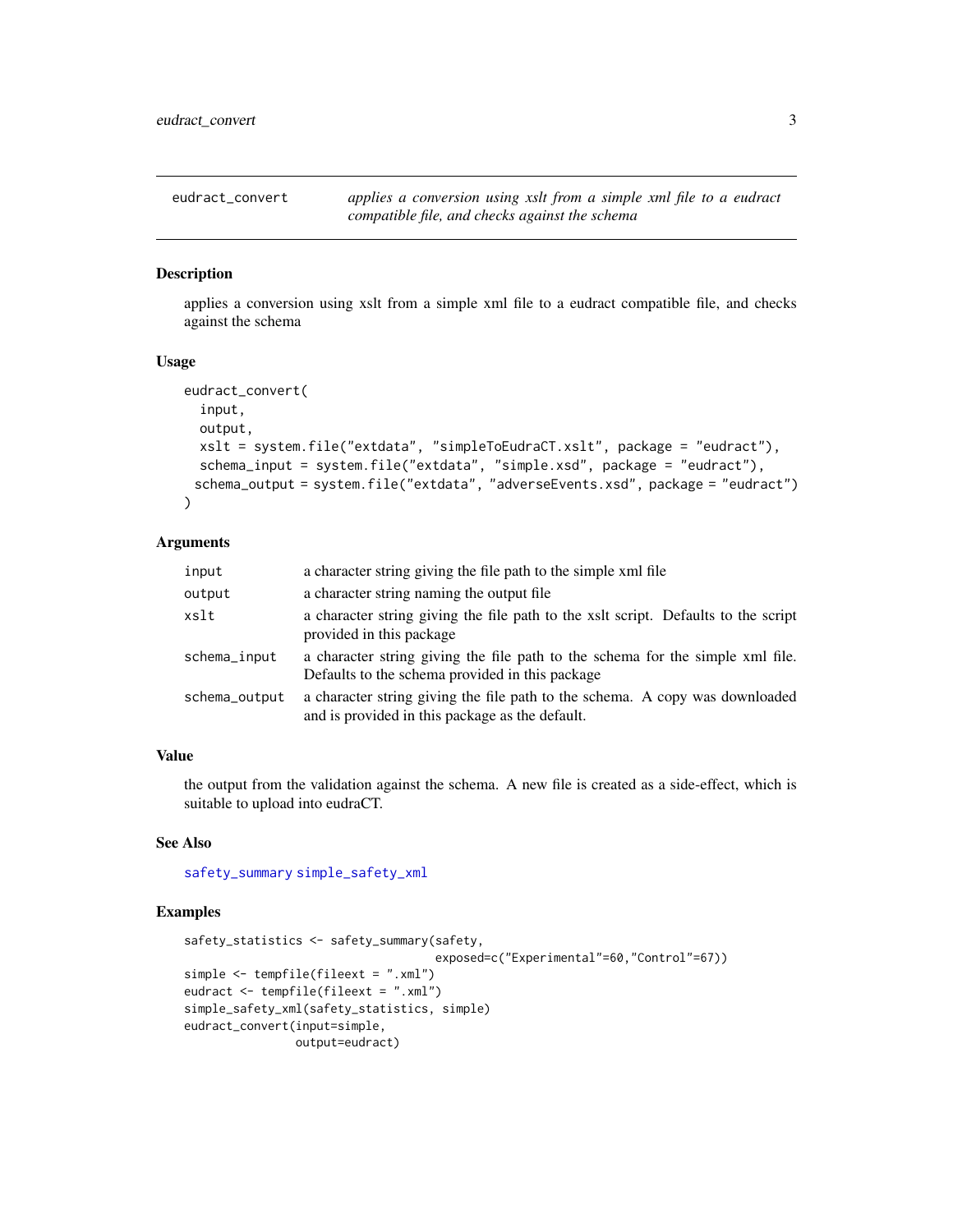<span id="page-2-1"></span><span id="page-2-0"></span>

# Description

applies a conversion using xslt from a simple xml file to a eudract compatible file, and checks against the schema

#### Usage

```
eudract_convert(
  input,
  output,
 xslt = system.file("extdata", "simpleToEudraCT.xslt", package = "eudract"),
  schema_input = system.file("extdata", "simple.xsd", package = "eudract"),
 schema_output = system.file("extdata", "adverseEvents.xsd", package = "eudract")
)
```
#### Arguments

| input         | a character string giving the file path to the simple xml file                                                                    |
|---------------|-----------------------------------------------------------------------------------------------------------------------------------|
| output        | a character string naming the output file.                                                                                        |
| xslt          | a character string giving the file path to the xslt script. Defaults to the script<br>provided in this package                    |
| schema_input  | a character string giving the file path to the schema for the simple xml file.<br>Defaults to the schema provided in this package |
| schema_output | a character string giving the file path to the schema. A copy was downloaded<br>and is provided in this package as the default.   |

#### Value

the output from the validation against the schema. A new file is created as a side-effect, which is suitable to upload into eudraCT.

#### See Also

[safety\\_summary](#page-3-1) [simple\\_safety\\_xml](#page-5-1)

#### Examples

```
safety_statistics <- safety_summary(safety,
                                    exposed=c("Experimental"=60,"Control"=67))
simple <- tempfile(fileext = ".xml")
eudract <- tempfile(fileext = ".xml")
simple_safety_xml(safety_statistics, simple)
eudract_convert(input=simple,
                output=eudract)
```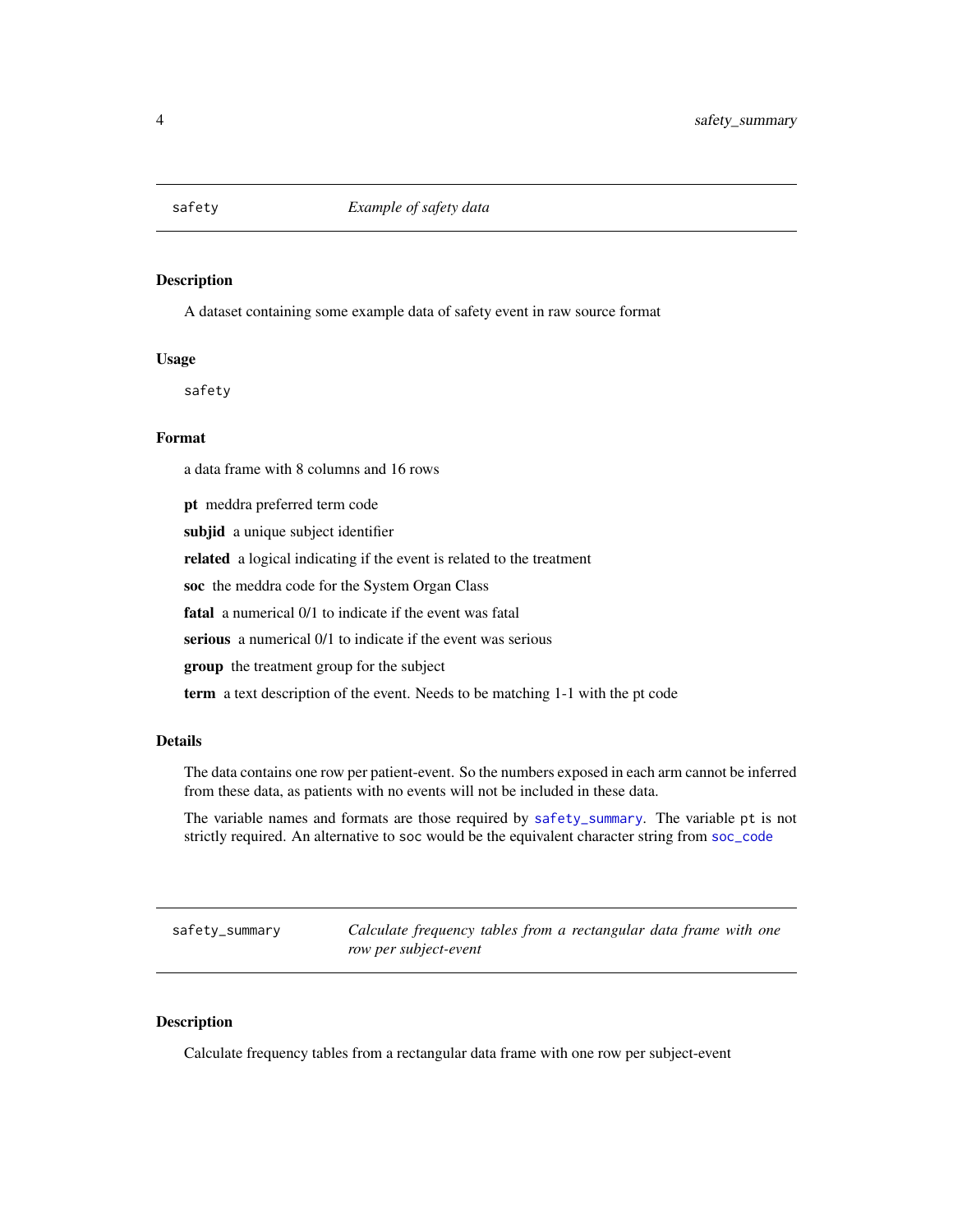<span id="page-3-2"></span><span id="page-3-0"></span>

#### Description

A dataset containing some example data of safety event in raw source format

#### Usage

safety

#### Format

a data frame with 8 columns and 16 rows

pt meddra preferred term code subjid a unique subject identifier related a logical indicating if the event is related to the treatment soc the meddra code for the System Organ Class fatal a numerical 0/1 to indicate if the event was fatal serious a numerical  $0/1$  to indicate if the event was serious group the treatment group for the subject term a text description of the event. Needs to be matching 1-1 with the pt code

#### Details

The data contains one row per patient-event. So the numbers exposed in each arm cannot be inferred from these data, as patients with no events will not be included in these data.

The variable names and formats are those required by [safety\\_summary](#page-3-1). The variable pt is not strictly required. An alternative to soc would be the equivalent character string from [soc\\_code](#page-6-1)

<span id="page-3-1"></span>safety\_summary *Calculate frequency tables from a rectangular data frame with one row per subject-event*

#### Description

Calculate frequency tables from a rectangular data frame with one row per subject-event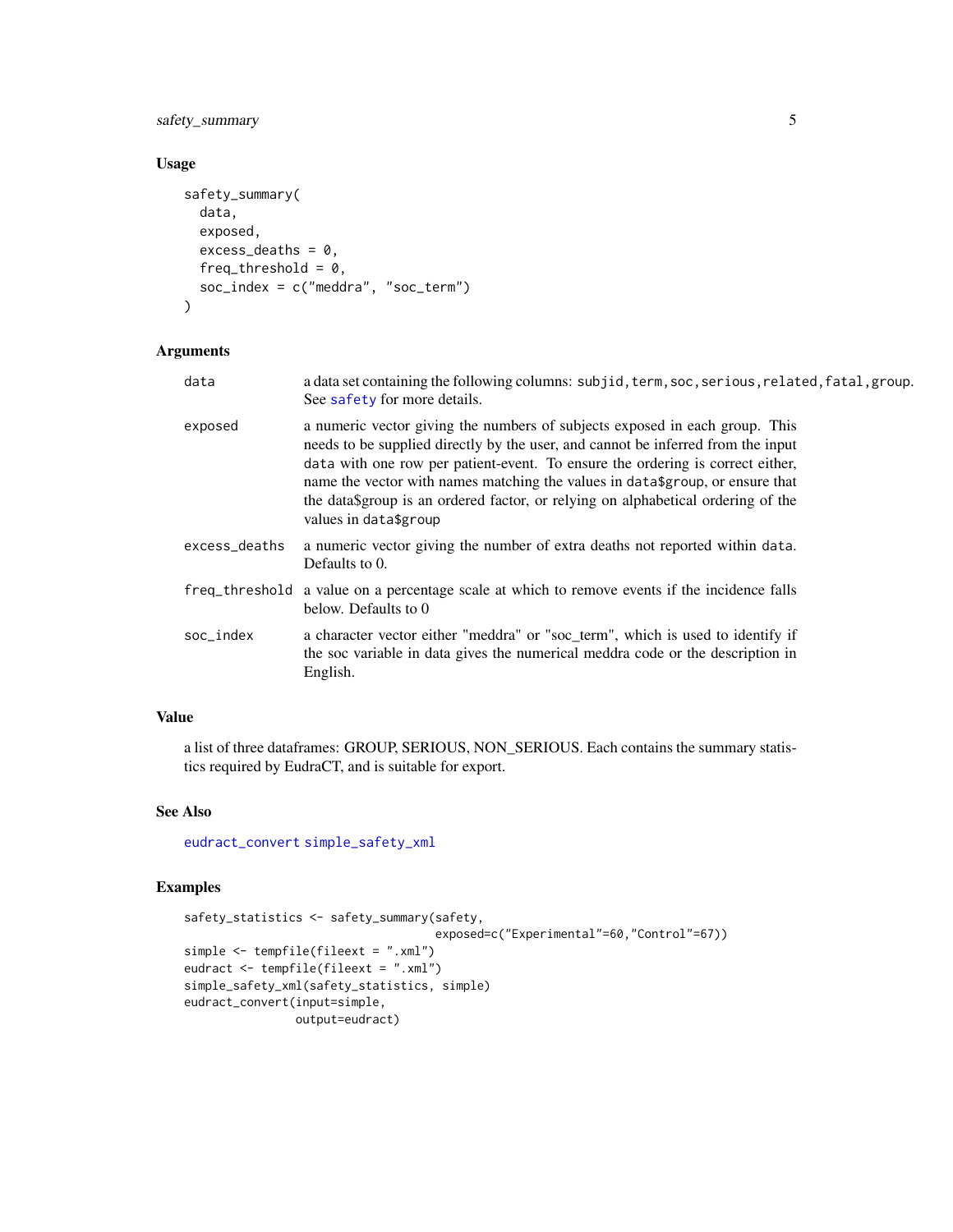<span id="page-4-0"></span>safety\_summary 5

#### Usage

```
safety_summary(
  data,
  exposed,
  excess\_deaths = 0,
  freq_threshold = 0,
  soc\_index = c("median", "soc\_term"))
```
# Arguments

data a data set containing the following columns: subjid, term, soc, serious, related, fatal, group. See [safety](#page-3-2) for more details.

exposed a numeric vector giving the numbers of subjects exposed in each group. This needs to be supplied directly by the user, and cannot be inferred from the input data with one row per patient-event. To ensure the ordering is correct either, name the vector with names matching the values in data\$group, or ensure that the data\$group is an ordered factor, or relying on alphabetical ordering of the values in data\$group

- excess\_deaths a numeric vector giving the number of extra deaths not reported within data. Defaults to 0.
- freq\_threshold a value on a percentage scale at which to remove events if the incidence falls below. Defaults to 0
- soc\_index a character vector either "meddra" or "soc\_term", which is used to identify if the soc variable in data gives the numerical meddra code or the description in English.

#### Value

a list of three dataframes: GROUP, SERIOUS, NON\_SERIOUS. Each contains the summary statistics required by EudraCT, and is suitable for export.

#### See Also

[eudract\\_convert](#page-2-1) [simple\\_safety\\_xml](#page-5-1)

#### Examples

```
safety_statistics <- safety_summary(safety,
                                    exposed=c("Experimental"=60,"Control"=67))
simple <- tempfile(fileext = ".xml")
eudract <- tempfile(fileext = ".xml")
simple_safety_xml(safety_statistics, simple)
eudract_convert(input=simple,
                output=eudract)
```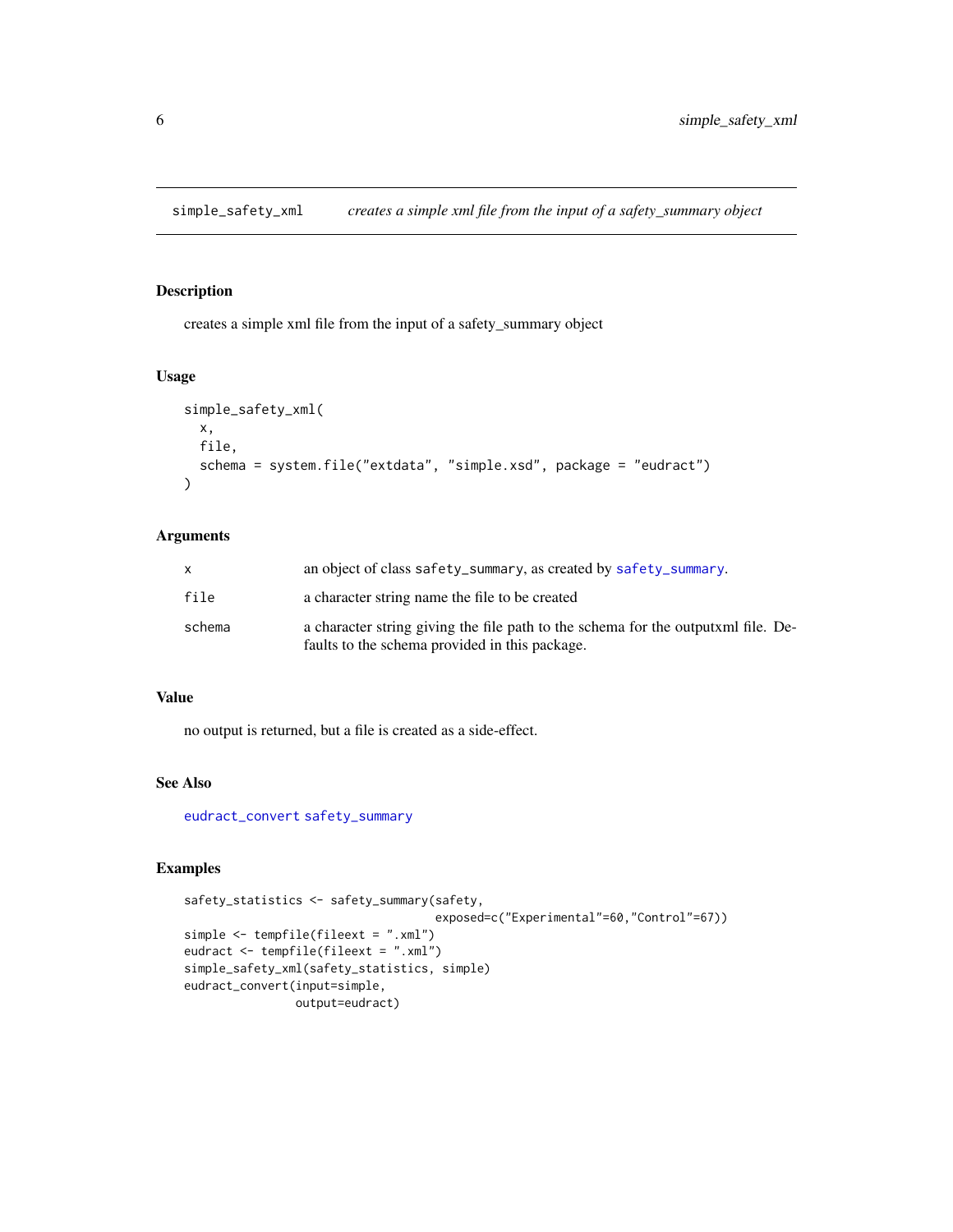<span id="page-5-1"></span><span id="page-5-0"></span>simple\_safety\_xml *creates a simple xml file from the input of a safety\_summary object*

#### Description

creates a simple xml file from the input of a safety\_summary object

# Usage

```
simple_safety_xml(
 x,
 file,
  schema = system.file("extdata", "simple.xsd", package = "eudract")
\lambda
```
#### Arguments

| X      | an object of class safety_summary, as created by safety_summary.                                                                    |
|--------|-------------------------------------------------------------------------------------------------------------------------------------|
| file   | a character string name the file to be created                                                                                      |
| schema | a character string giving the file path to the schema for the outputxml file. De-<br>faults to the schema provided in this package. |

#### Value

no output is returned, but a file is created as a side-effect.

# See Also

[eudract\\_convert](#page-2-1) [safety\\_summary](#page-3-1)

# Examples

```
safety_statistics <- safety_summary(safety,
                                    exposed=c("Experimental"=60,"Control"=67))
simple <- tempfile(fileext = ".xml")
eudract <- tempfile(fileext = ".xml")
simple_safety_xml(safety_statistics, simple)
eudract_convert(input=simple,
               output=eudract)
```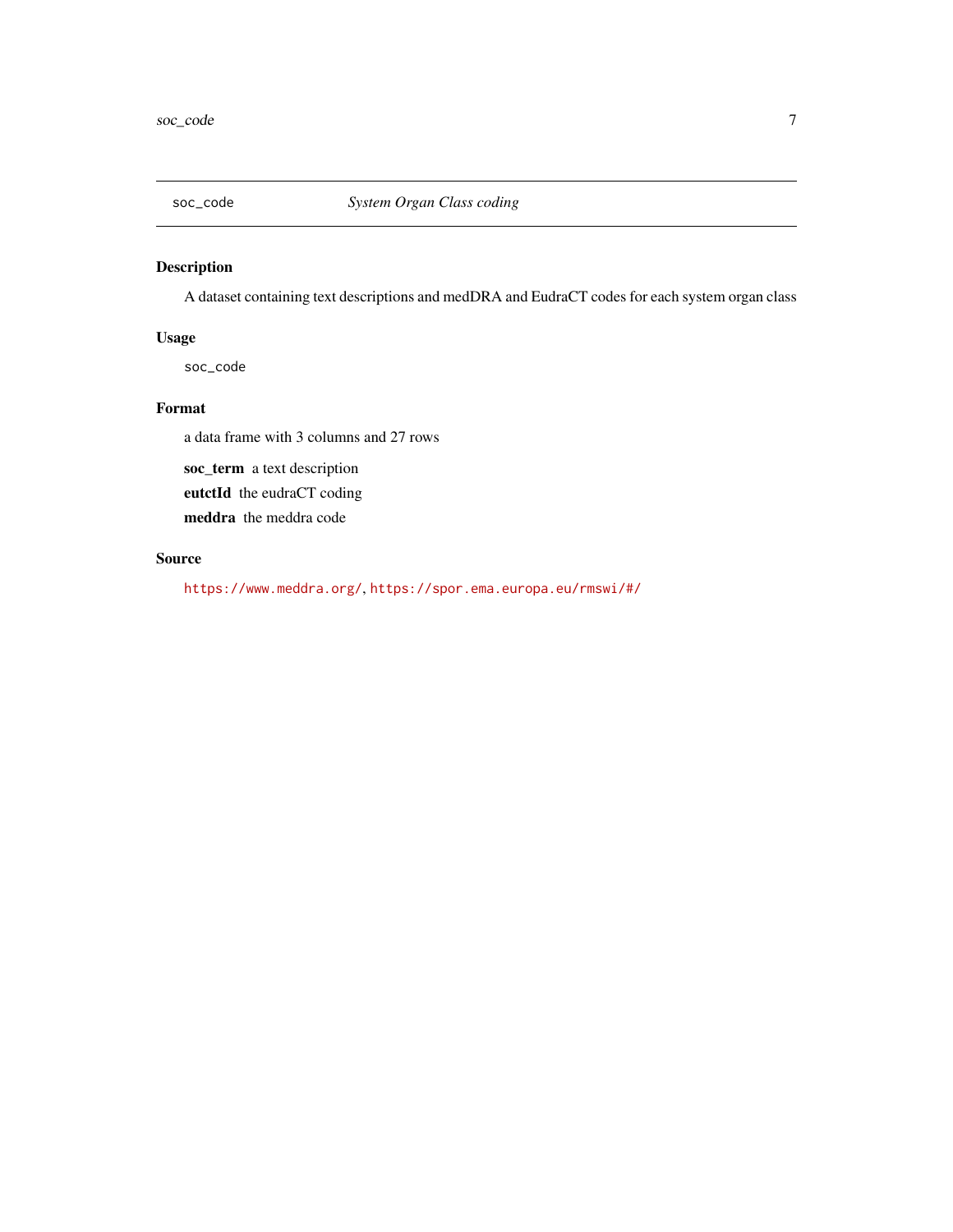<span id="page-6-1"></span><span id="page-6-0"></span>

# Description

A dataset containing text descriptions and medDRA and EudraCT codes for each system organ class

# Usage

soc\_code

#### Format

a data frame with 3 columns and 27 rows

soc\_term a text description eutctId the eudraCT coding meddra the meddra code

#### Source

<https://www.meddra.org/>, <https://spor.ema.europa.eu/rmswi/#/>